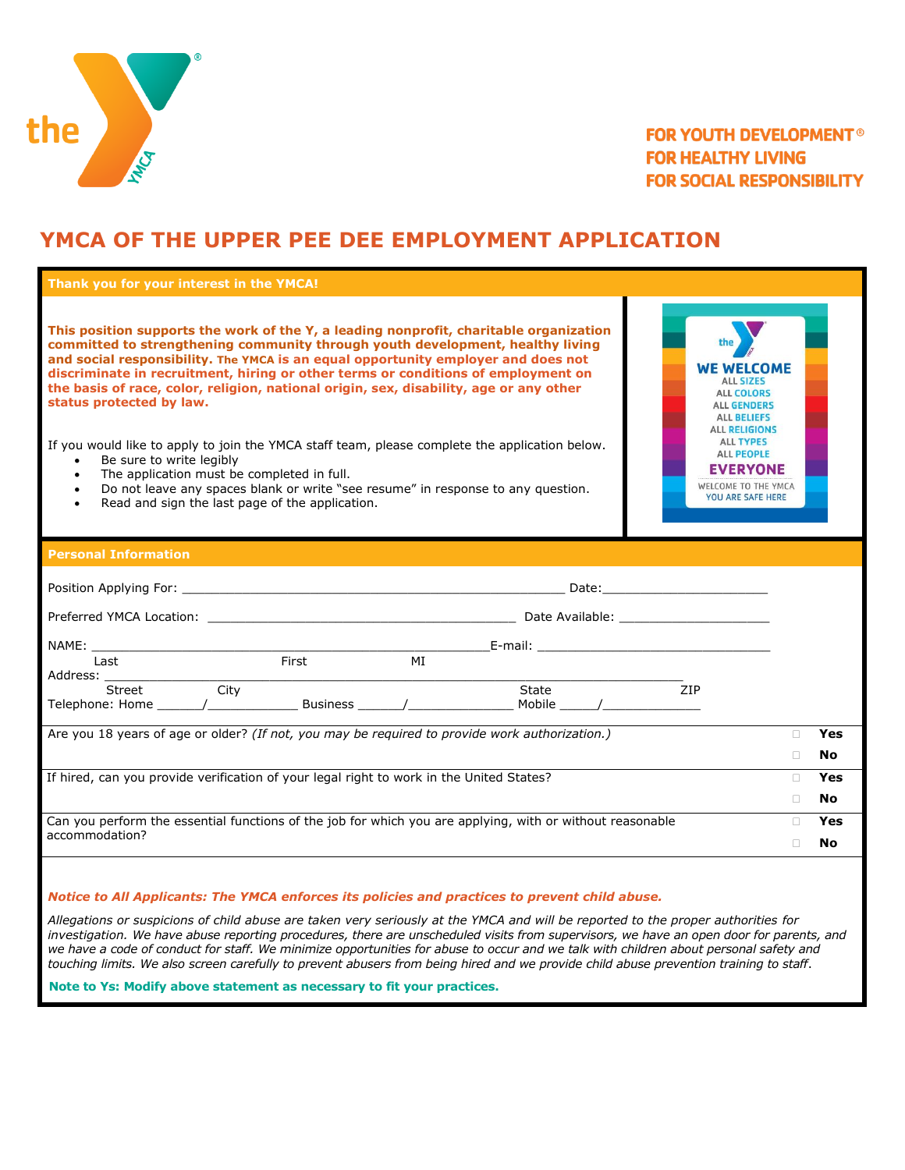

## **FOR YOUTH DEVELOPMENT® FOR HEALTHY LIVING FOR SOCIAL RESPONSIBILITY**

# **YMCA OF THE UPPER PEE DEE EMPLOYMENT APPLICATION**

| Thank you for your interest in the YMCA!                                                                                                                                                                                                                                                                                                                                                                                                                                                                                                                                                                                                                                                                                                                                                                                                                                                                                                                                                                                                                                                         |    |     |
|--------------------------------------------------------------------------------------------------------------------------------------------------------------------------------------------------------------------------------------------------------------------------------------------------------------------------------------------------------------------------------------------------------------------------------------------------------------------------------------------------------------------------------------------------------------------------------------------------------------------------------------------------------------------------------------------------------------------------------------------------------------------------------------------------------------------------------------------------------------------------------------------------------------------------------------------------------------------------------------------------------------------------------------------------------------------------------------------------|----|-----|
| This position supports the work of the Y, a leading nonprofit, charitable organization<br>committed to strengthening community through youth development, healthy living<br>and social responsibility. The YMCA is an equal opportunity employer and does not<br><b>WE WELCOME</b><br>discriminate in recruitment, hiring or other terms or conditions of employment on<br><b>ALL SIZES</b><br>the basis of race, color, religion, national origin, sex, disability, age or any other<br><b>ALL COLORS</b><br>status protected by law.<br><b>ALL GENDERS</b><br><b>ALL BELIEFS</b><br><b>ALL RELIGIONS</b><br><b>ALL TYPES</b><br>If you would like to apply to join the YMCA staff team, please complete the application below.<br><b>ALL PEOPLE</b><br>Be sure to write legibly<br>$\bullet$<br><b>EVERYONE</b><br>The application must be completed in full.<br>$\bullet$<br>WELCOME TO THE YMCA<br>Do not leave any spaces blank or write "see resume" in response to any question.<br>$\bullet$<br><b>YOU ARE SAFE HERE</b><br>Read and sign the last page of the application.<br>$\bullet$ |    |     |
| <b>Personal Information</b>                                                                                                                                                                                                                                                                                                                                                                                                                                                                                                                                                                                                                                                                                                                                                                                                                                                                                                                                                                                                                                                                      |    |     |
|                                                                                                                                                                                                                                                                                                                                                                                                                                                                                                                                                                                                                                                                                                                                                                                                                                                                                                                                                                                                                                                                                                  |    |     |
|                                                                                                                                                                                                                                                                                                                                                                                                                                                                                                                                                                                                                                                                                                                                                                                                                                                                                                                                                                                                                                                                                                  |    |     |
|                                                                                                                                                                                                                                                                                                                                                                                                                                                                                                                                                                                                                                                                                                                                                                                                                                                                                                                                                                                                                                                                                                  |    |     |
| Address: <u>City City</u>                                                                                                                                                                                                                                                                                                                                                                                                                                                                                                                                                                                                                                                                                                                                                                                                                                                                                                                                                                                                                                                                        |    |     |
| State<br>7 <sub>IP</sub>                                                                                                                                                                                                                                                                                                                                                                                                                                                                                                                                                                                                                                                                                                                                                                                                                                                                                                                                                                                                                                                                         |    |     |
| Are you 18 years of age or older? (If not, you may be required to provide work authorization.)                                                                                                                                                                                                                                                                                                                                                                                                                                                                                                                                                                                                                                                                                                                                                                                                                                                                                                                                                                                                   | П. | Yes |
|                                                                                                                                                                                                                                                                                                                                                                                                                                                                                                                                                                                                                                                                                                                                                                                                                                                                                                                                                                                                                                                                                                  | П. | No  |
| If hired, can you provide verification of your legal right to work in the United States?                                                                                                                                                                                                                                                                                                                                                                                                                                                                                                                                                                                                                                                                                                                                                                                                                                                                                                                                                                                                         | П. | Yes |
|                                                                                                                                                                                                                                                                                                                                                                                                                                                                                                                                                                                                                                                                                                                                                                                                                                                                                                                                                                                                                                                                                                  | П. | No  |
| Can you perform the essential functions of the job for which you are applying, with or without reasonable<br>accommodation?                                                                                                                                                                                                                                                                                                                                                                                                                                                                                                                                                                                                                                                                                                                                                                                                                                                                                                                                                                      | П. | Yes |
|                                                                                                                                                                                                                                                                                                                                                                                                                                                                                                                                                                                                                                                                                                                                                                                                                                                                                                                                                                                                                                                                                                  | n. | No  |

#### *Notice to All Applicants: The YMCA enforces its policies and practices to prevent child abuse.*

*Allegations or suspicions of child abuse are taken very seriously at the YMCA and will be reported to the proper authorities for investigation. We have abuse reporting procedures, there are unscheduled visits from supervisors, we have an open door for parents, and*  we have a code of conduct for staff. We minimize opportunities for abuse to occur and we talk with children about personal safety and *touching limits. We also screen carefully to prevent abusers from being hired and we provide child abuse prevention training to staff*.

 **Note to Ys: Modify above statement as necessary to fit your practices.**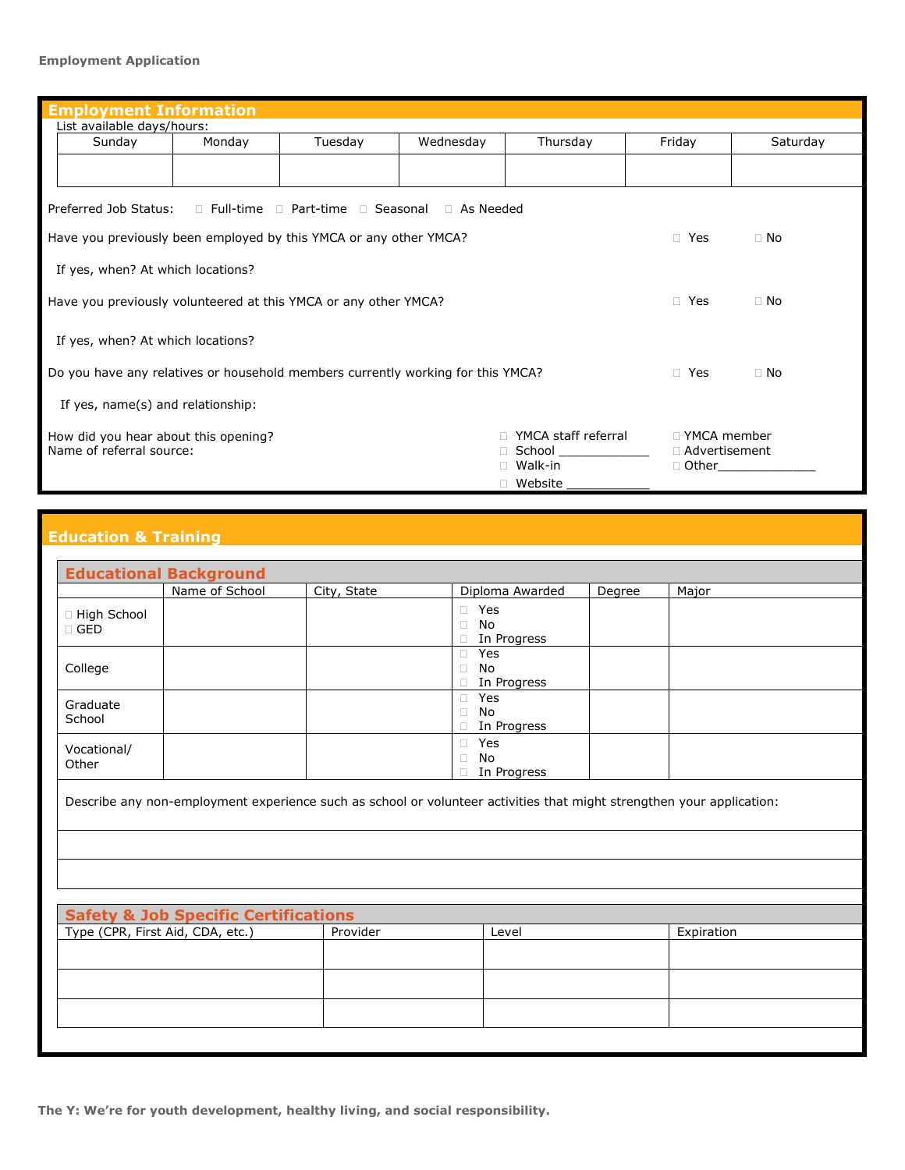#### **Employment Application**

| <b>Employment Information</b>                                                                              |        |         |            |                        |                 |          |
|------------------------------------------------------------------------------------------------------------|--------|---------|------------|------------------------|-----------------|----------|
| List available days/hours:                                                                                 |        |         |            |                        |                 |          |
| Sunday                                                                                                     | Monday | Tuesday | Wednesday  | Thursday               | Friday          | Saturday |
|                                                                                                            |        |         |            |                        |                 |          |
| Preferred Job Status:<br>$\Box$ Full-time $\Box$ Part-time $\Box$ Seasonal $\Box$ As Needed                |        |         |            |                        |                 |          |
| Have you previously been employed by this YMCA or any other YMCA?<br>$\Box$ Yes<br>$\Box$ No               |        |         |            |                        |                 |          |
| If yes, when? At which locations?                                                                          |        |         |            |                        |                 |          |
| Have you previously volunteered at this YMCA or any other YMCA?                                            |        |         | $\Box$ Yes | $\Box$ No              |                 |          |
| If yes, when? At which locations?                                                                          |        |         |            |                        |                 |          |
| Do you have any relatives or household members currently working for this YMCA?<br>$\Box$ Yes<br>$\Box$ No |        |         |            |                        |                 |          |
| If yes, name(s) and relationship:                                                                          |        |         |            |                        |                 |          |
| YMCA staff referral<br>□ YMCA member<br>How did you hear about this opening?                               |        |         |            |                        |                 |          |
| Name of referral source:                                                                                   |        |         |            | □ School _____________ | □ Advertisement |          |
|                                                                                                            |        |         |            | Walk-in                | □ Other         |          |
|                                                                                                            |        |         |            | □ Website              |                 |          |

### **Education & Training**

|                             | Name of School | City, State | Diploma Awarded                              | Degree | Major |
|-----------------------------|----------------|-------------|----------------------------------------------|--------|-------|
| □ High School<br>$\Box$ GED |                |             | □ Yes<br>$\Box$ No<br>□ In Progress          |        |       |
| College                     |                |             | $\Box$ Yes<br>No<br>0<br>$\Box$ In Progress  |        |       |
| Graduate<br>School          |                |             | $\Box$ Yes<br>No<br>П.<br>$\Box$ In Progress |        |       |
| Vocational/<br>Other        |                |             | $\Box$ Yes<br>$\Box$ No<br>□ In Progress     |        |       |

Describe any non-employment experience such as school or volunteer activities that might strengthen your application:

| <b>Safety &amp; Job Specific Certifications</b> |          |       |            |  |
|-------------------------------------------------|----------|-------|------------|--|
| Type (CPR, First Aid, CDA, etc.)                | Provider | Level | Expiration |  |
|                                                 |          |       |            |  |
|                                                 |          |       |            |  |
|                                                 |          |       |            |  |
|                                                 |          |       |            |  |
|                                                 |          |       |            |  |
|                                                 |          |       |            |  |
|                                                 |          |       |            |  |

**The Y: We're for youth development, healthy living, and social responsibility.**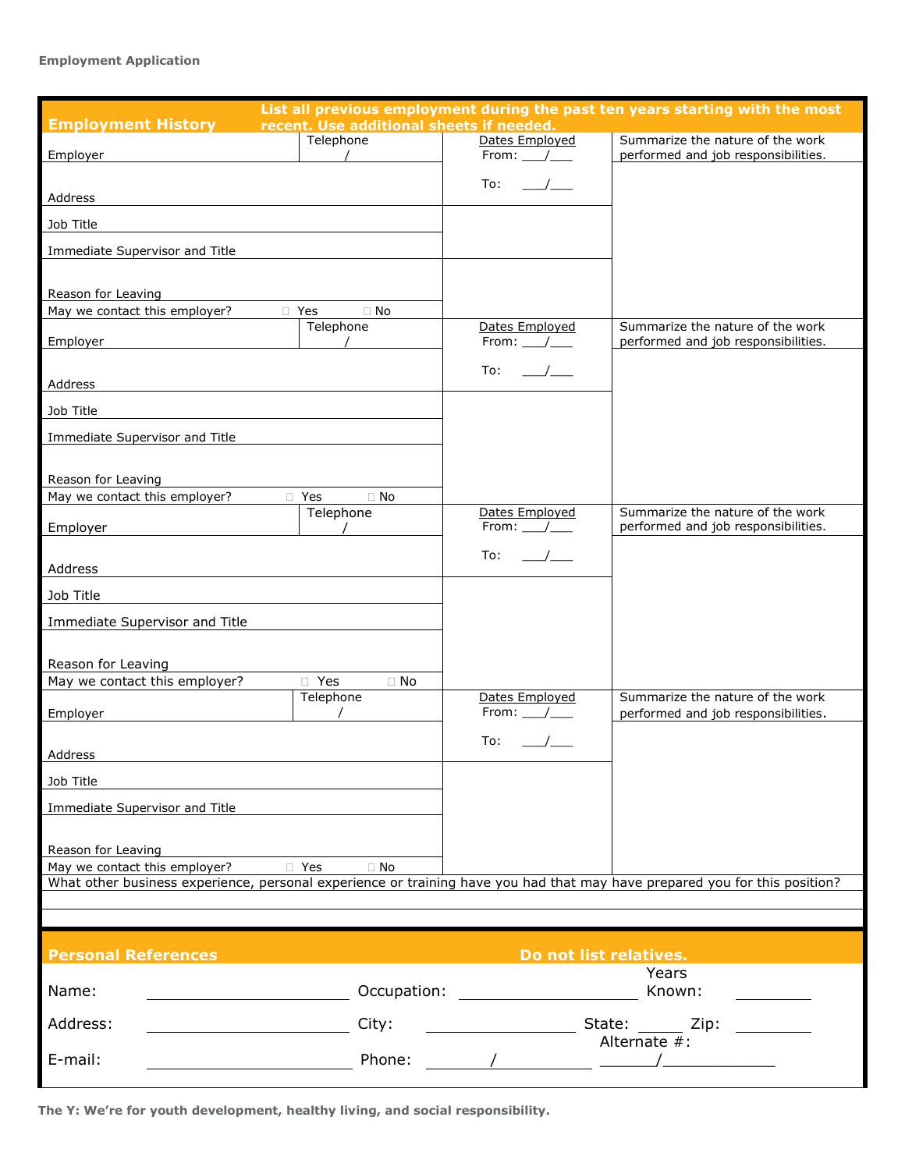#### **Employment Application**

| <b>Employment History</b><br>recent. Use additional sheets if needed.                                                      |                                                                                                                 | List all previous employment during the past ten years starting with the most |
|----------------------------------------------------------------------------------------------------------------------------|-----------------------------------------------------------------------------------------------------------------|-------------------------------------------------------------------------------|
| Telephone<br>Employer                                                                                                      | Dates Employed<br>From: $\_\_\_\_\_\_\$                                                                         | Summarize the nature of the work<br>performed and job responsibilities.       |
| Address                                                                                                                    | To:                                                                                                             |                                                                               |
| Job Title                                                                                                                  |                                                                                                                 |                                                                               |
| Immediate Supervisor and Title                                                                                             |                                                                                                                 |                                                                               |
| Reason for Leaving<br>May we contact this employer?<br>$\Box$ No<br>□ Yes                                                  |                                                                                                                 |                                                                               |
| Telephone<br><b>Employer</b>                                                                                               | Dates Employed<br>From: $\_\_\_\_\_\_\$                                                                         | Summarize the nature of the work<br>performed and job responsibilities.       |
| Address                                                                                                                    | To: $\_\_\_\_\_\_\_\$                                                                                           |                                                                               |
| Job Title                                                                                                                  |                                                                                                                 |                                                                               |
| Immediate Supervisor and Title                                                                                             |                                                                                                                 |                                                                               |
| Reason for Leaving<br>May we contact this employer?<br>$\Box$ No<br>□ Yes                                                  |                                                                                                                 |                                                                               |
| Telephone<br>Employer<br>$\overline{\phantom{a}}$                                                                          | Dates Employed<br>From: $/$                                                                                     | Summarize the nature of the work<br>performed and job responsibilities.       |
| Address                                                                                                                    | To:                                                                                                             |                                                                               |
| Job Title                                                                                                                  |                                                                                                                 |                                                                               |
| Immediate Supervisor and Title                                                                                             |                                                                                                                 |                                                                               |
| Reason for Leaving                                                                                                         |                                                                                                                 |                                                                               |
| May we contact this employer?<br>□ Yes<br>$\Box$ No<br>Telephone                                                           | Dates Employed                                                                                                  | Summarize the nature of the work                                              |
| Employer                                                                                                                   | From: /                                                                                                         | performed and job responsibilities.                                           |
| Address                                                                                                                    | To:                                                                                                             |                                                                               |
| Job Title                                                                                                                  |                                                                                                                 |                                                                               |
| Immediate Supervisor and Title                                                                                             |                                                                                                                 |                                                                               |
| Reason for Leaving<br><b>Transference</b><br>$\Box$ No<br>May we contact this employer?                                    |                                                                                                                 |                                                                               |
| What other business experience, personal experience or training have you had that may have prepared you for this position? |                                                                                                                 |                                                                               |
|                                                                                                                            |                                                                                                                 |                                                                               |
| <b>Personal References</b>                                                                                                 | Do not list relatives.                                                                                          |                                                                               |
| Name:                                                                                                                      | Occupation: The contract of the contract of the contract of the contract of the contract of the contract of the | Years<br>Known:                                                               |
| Address:<br>City:                                                                                                          |                                                                                                                 | State: Zip:                                                                   |
| E-mail:<br>Phone:                                                                                                          | $\frac{1}{2}$ and $\frac{1}{2}$ and $\frac{1}{2}$ and $\frac{1}{2}$ and $\frac{1}{2}$ and $\frac{1}{2}$         | Alternate #:                                                                  |

**The Y: We're for youth development, healthy living, and social responsibility.**